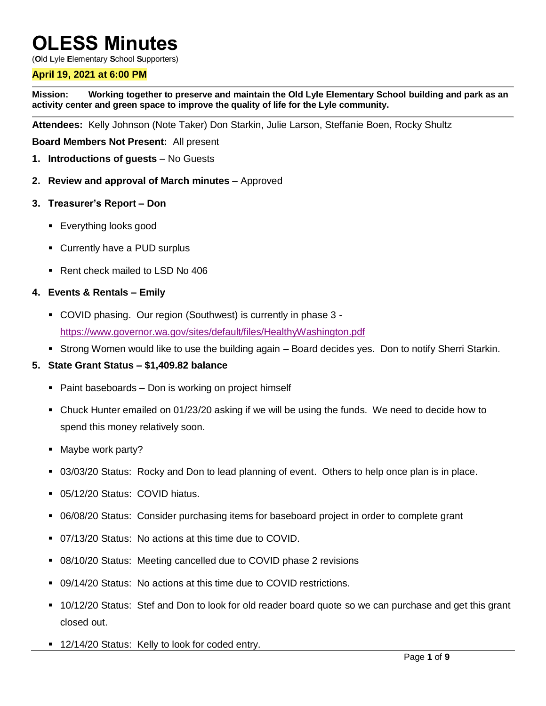# **OLESS Minutes**

(**O**ld **L**yle **E**lementary **S**chool **S**upporters)

## **April 19, 2021 at 6:00 PM**

**Mission: Working together to preserve and maintain the Old Lyle Elementary School building and park as an activity center and green space to improve the quality of life for the Lyle community.**

**Attendees:** Kelly Johnson (Note Taker) Don Starkin, Julie Larson, Steffanie Boen, Rocky Shultz

**Board Members Not Present:** All present

- **1. Introductions of guests** No Guests
- **2. Review and approval of March minutes** Approved
- **3. Treasurer's Report – Don** 
	- **Everything looks good**
	- Currently have a PUD surplus
	- Rent check mailed to LSD No 406

#### **4. Events & Rentals – Emily**

- COVID phasing. Our region (Southwest) is currently in phase 3 <https://www.governor.wa.gov/sites/default/files/HealthyWashington.pdf>
- Strong Women would like to use the building again Board decides yes. Don to notify Sherri Starkin.

### **5. State Grant Status – \$1,409.82 balance**

- Paint baseboards Don is working on project himself
- Chuck Hunter emailed on 01/23/20 asking if we will be using the funds. We need to decide how to spend this money relatively soon.
- Maybe work party?
- 03/03/20 Status: Rocky and Don to lead planning of event. Others to help once plan is in place.
- 05/12/20 Status: COVID hiatus.
- 06/08/20 Status: Consider purchasing items for baseboard project in order to complete grant
- 07/13/20 Status: No actions at this time due to COVID.
- 08/10/20 Status: Meeting cancelled due to COVID phase 2 revisions
- 09/14/20 Status: No actions at this time due to COVID restrictions.
- 10/12/20 Status: Stef and Don to look for old reader board quote so we can purchase and get this grant closed out.
- **12/14/20 Status: Kelly to look for coded entry.**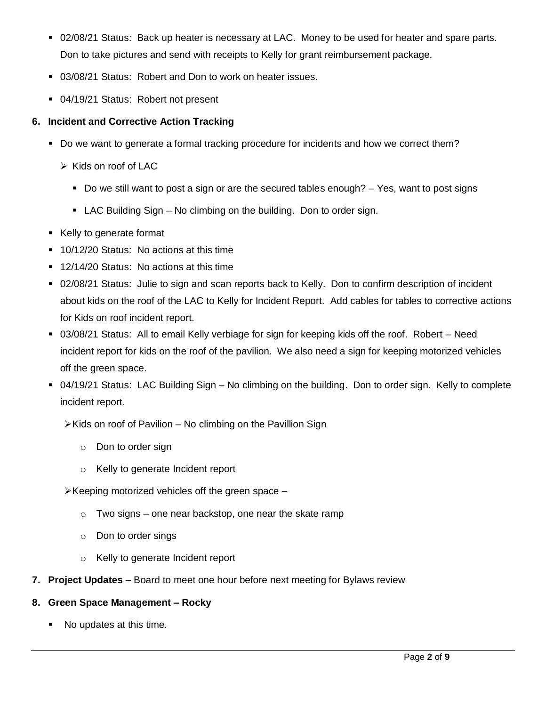- 02/08/21 Status: Back up heater is necessary at LAC. Money to be used for heater and spare parts. Don to take pictures and send with receipts to Kelly for grant reimbursement package.
- 03/08/21 Status: Robert and Don to work on heater issues.
- 04/19/21 Status: Robert not present

## **6. Incident and Corrective Action Tracking**

- Do we want to generate a formal tracking procedure for incidents and how we correct them?
	- $\triangleright$  Kids on roof of LAC
		- Do we still want to post a sign or are the secured tables enough?  $-$  Yes, want to post signs
		- LAC Building Sign No climbing on the building. Don to order sign.
- Kelly to generate format
- **10/12/20 Status: No actions at this time**
- 12/14/20 Status: No actions at this time
- 02/08/21 Status: Julie to sign and scan reports back to Kelly. Don to confirm description of incident about kids on the roof of the LAC to Kelly for Incident Report. Add cables for tables to corrective actions for Kids on roof incident report.
- 03/08/21 Status: All to email Kelly verbiage for sign for keeping kids off the roof. Robert Need incident report for kids on the roof of the pavilion. We also need a sign for keeping motorized vehicles off the green space.
- 04/19/21 Status: LAC Building Sign No climbing on the building. Don to order sign. Kelly to complete incident report.
	- $\triangleright$  Kids on roof of Pavilion No climbing on the Pavillion Sign
		- o Don to order sign
		- o Kelly to generate Incident report
	- $\triangleright$  Keeping motorized vehicles off the green space
		- $\circ$  Two signs one near backstop, one near the skate ramp
		- o Don to order sings
		- o Kelly to generate Incident report
- **7. Project Updates** Board to meet one hour before next meeting for Bylaws review

## **8. Green Space Management – Rocky**

No updates at this time.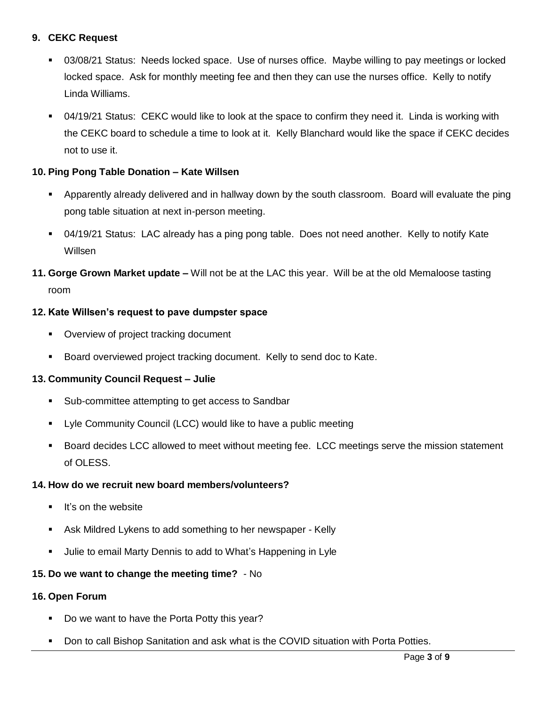## **9. CEKC Request**

- 03/08/21 Status: Needs locked space. Use of nurses office. Maybe willing to pay meetings or locked locked space. Ask for monthly meeting fee and then they can use the nurses office. Kelly to notify Linda Williams.
- 04/19/21 Status: CEKC would like to look at the space to confirm they need it. Linda is working with the CEKC board to schedule a time to look at it. Kelly Blanchard would like the space if CEKC decides not to use it.

## **10. Ping Pong Table Donation – Kate Willsen**

- Apparently already delivered and in hallway down by the south classroom. Board will evaluate the ping pong table situation at next in-person meeting.
- 04/19/21 Status: LAC already has a ping pong table. Does not need another. Kelly to notify Kate Willsen
- **11. Gorge Grown Market update –** Will not be at the LAC this year. Will be at the old Memaloose tasting room

### **12. Kate Willsen's request to pave dumpster space**

- **Overview of project tracking document**
- Board overviewed project tracking document. Kelly to send doc to Kate.

### **13. Community Council Request – Julie**

- **Sub-committee attempting to get access to Sandbar**
- Lyle Community Council (LCC) would like to have a public meeting
- Board decides LCC allowed to meet without meeting fee. LCC meetings serve the mission statement of OLESS.

### **14. How do we recruit new board members/volunteers?**

- **If's on the website**
- Ask Mildred Lykens to add something to her newspaper Kelly
- Julie to email Marty Dennis to add to What's Happening in Lyle

## **15. Do we want to change the meeting time?** - No

### **16. Open Forum**

- Do we want to have the Porta Potty this year?
- **Don to call Bishop Sanitation and ask what is the COVID situation with Porta Potties.**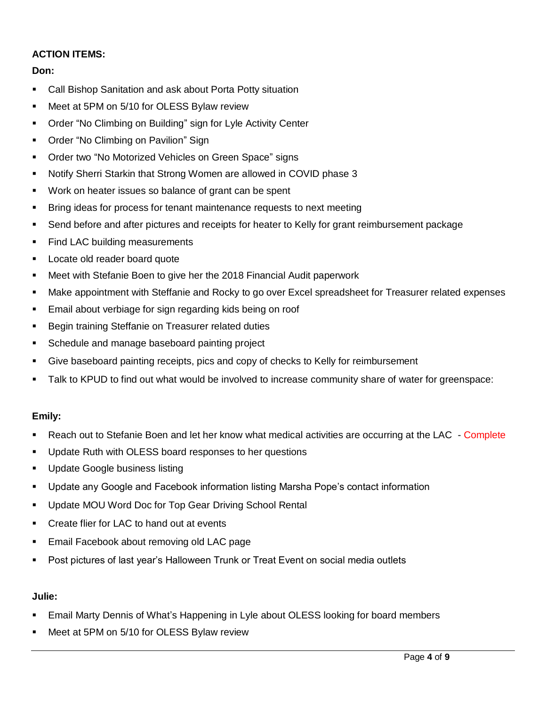## **ACTION ITEMS:**

## **Don:**

- Call Bishop Sanitation and ask about Porta Potty situation
- Meet at 5PM on 5/10 for OLESS Bylaw review
- Order "No Climbing on Building" sign for Lyle Activity Center
- Order "No Climbing on Pavilion" Sign
- **Order two "No Motorized Vehicles on Green Space" signs**
- Notify Sherri Starkin that Strong Women are allowed in COVID phase 3
- Work on heater issues so balance of grant can be spent
- **Bring ideas for process for tenant maintenance requests to next meeting**
- Send before and after pictures and receipts for heater to Kelly for grant reimbursement package
- Find LAC building measurements
- **Locate old reader board quote**
- Meet with Stefanie Boen to give her the 2018 Financial Audit paperwork
- Make appointment with Steffanie and Rocky to go over Excel spreadsheet for Treasurer related expenses
- **Email about verbiage for sign regarding kids being on roof**
- **Begin training Steffanie on Treasurer related duties**
- **Schedule and manage baseboard painting project**
- Give baseboard painting receipts, pics and copy of checks to Kelly for reimbursement
- Talk to KPUD to find out what would be involved to increase community share of water for greenspace:

## **Emily:**

- Reach out to Stefanie Boen and let her know what medical activities are occurring at the LAC Complete
- Update Ruth with OLESS board responses to her questions
- Update Google business listing
- Update any Google and Facebook information listing Marsha Pope's contact information
- **Update MOU Word Doc for Top Gear Driving School Rental**
- **EXECT** Create flier for LAC to hand out at events
- **Email Facebook about removing old LAC page**
- **Post pictures of last year's Halloween Trunk or Treat Event on social media outlets**

# **Julie:**

- Email Marty Dennis of What's Happening in Lyle about OLESS looking for board members
- **Meet at 5PM on 5/10 for OLESS Bylaw review**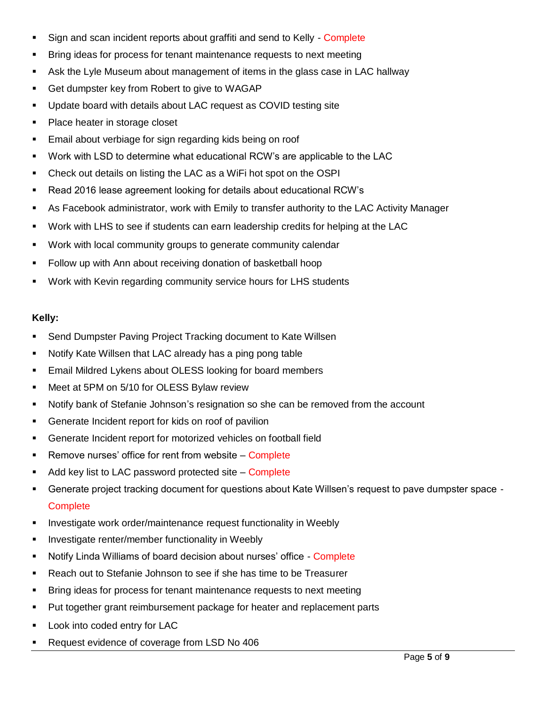- Sign and scan incident reports about graffiti and send to Kelly Complete
- Bring ideas for process for tenant maintenance requests to next meeting
- Ask the Lyle Museum about management of items in the glass case in LAC hallway
- **Get dumpster key from Robert to give to WAGAP**
- Update board with details about LAC request as COVID testing site
- Place heater in storage closet
- **Email about verbiage for sign regarding kids being on roof**
- Work with LSD to determine what educational RCW's are applicable to the LAC
- Check out details on listing the LAC as a WiFi hot spot on the OSPI
- Read 2016 lease agreement looking for details about educational RCW's
- As Facebook administrator, work with Emily to transfer authority to the LAC Activity Manager
- Work with LHS to see if students can earn leadership credits for helping at the LAC
- Work with local community groups to generate community calendar
- Follow up with Ann about receiving donation of basketball hoop
- Work with Kevin regarding community service hours for LHS students

## **Kelly:**

- Send Dumpster Paving Project Tracking document to Kate Willsen
- Notify Kate Willsen that LAC already has a ping pong table
- **Email Mildred Lykens about OLESS looking for board members**
- **Meet at 5PM on 5/10 for OLESS Bylaw review**
- Notify bank of Stefanie Johnson's resignation so she can be removed from the account
- **Generate Incident report for kids on roof of pavilion**
- Generate Incident report for motorized vehicles on football field
- Remove nurses' office for rent from website Complete
- $\blacksquare$  Add key list to LAC password protected site Complete
- Generate project tracking document for questions about Kate Willsen's request to pave dumpster space **Complete**
- **Investigate work order/maintenance request functionality in Weebly**
- **Investigate renter/member functionality in Weebly**
- Notify Linda Williams of board decision about nurses' office Complete
- Reach out to Stefanie Johnson to see if she has time to be Treasurer
- Bring ideas for process for tenant maintenance requests to next meeting
- Put together grant reimbursement package for heater and replacement parts
- **Look into coded entry for LAC**
- Request evidence of coverage from LSD No 406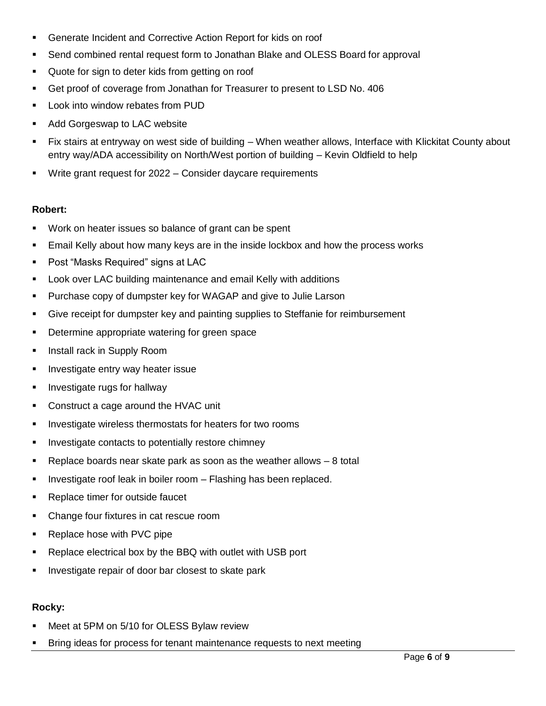- Generate Incident and Corrective Action Report for kids on roof
- Send combined rental request form to Jonathan Blake and OLESS Board for approval
- Quote for sign to deter kids from getting on roof
- Get proof of coverage from Jonathan for Treasurer to present to LSD No. 406
- **EXEC** Look into window rebates from PUD
- **Add Gorgeswap to LAC website**
- Fix stairs at entryway on west side of building When weather allows, Interface with Klickitat County about entry way/ADA accessibility on North/West portion of building – Kevin Oldfield to help
- Write grant request for 2022 Consider daycare requirements

#### **Robert:**

- Work on heater issues so balance of grant can be spent
- **Email Kelly about how many keys are in the inside lockbox and how the process works**
- Post "Masks Required" signs at LAC
- **EXECT** Look over LAC building maintenance and email Kelly with additions
- Purchase copy of dumpster key for WAGAP and give to Julie Larson
- Give receipt for dumpster key and painting supplies to Steffanie for reimbursement
- **•** Determine appropriate watering for green space
- **Install rack in Supply Room**
- **Investigate entry way heater issue**
- **Investigate rugs for hallway**
- **Construct a cage around the HVAC unit**
- **Investigate wireless thermostats for heaters for two rooms**
- Investigate contacts to potentially restore chimney
- $\blacksquare$  Replace boards near skate park as soon as the weather allows  $-8$  total
- **Investigate roof leak in boiler room Flashing has been replaced.**
- **Replace timer for outside faucet**
- Change four fixtures in cat rescue room
- **Replace hose with PVC pipe**
- **-** Replace electrical box by the BBQ with outlet with USB port
- **Investigate repair of door bar closest to skate park**

### **Rocky:**

- Meet at 5PM on 5/10 for OLESS Bylaw review
- Bring ideas for process for tenant maintenance requests to next meeting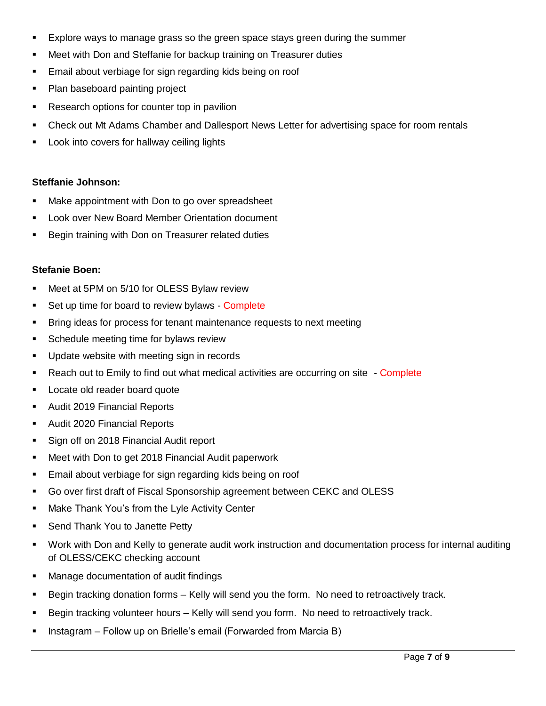- Explore ways to manage grass so the green space stays green during the summer
- Meet with Don and Steffanie for backup training on Treasurer duties
- **Email about verbiage for sign regarding kids being on roof**
- Plan baseboard painting project
- Research options for counter top in pavilion
- Check out Mt Adams Chamber and Dallesport News Letter for advertising space for room rentals
- **Look into covers for hallway ceiling lights**

## **Steffanie Johnson:**

- Make appointment with Don to go over spreadsheet
- **Look over New Board Member Orientation document**
- **Begin training with Don on Treasurer related duties**

### **Stefanie Boen:**

- **Meet at 5PM on 5/10 for OLESS Bylaw review**
- Set up time for board to review bylaws Complete
- **Bring ideas for process for tenant maintenance requests to next meeting**
- **Schedule meeting time for bylaws review**
- **Update website with meeting sign in records**
- Reach out to Emily to find out what medical activities are occurring on site Complete
- **Locate old reader board quote**
- **Audit 2019 Financial Reports**
- **Audit 2020 Financial Reports**
- Sign off on 2018 Financial Audit report
- **Meet with Don to get 2018 Financial Audit paperwork**
- **Email about verbiage for sign regarding kids being on roof**
- Go over first draft of Fiscal Sponsorship agreement between CEKC and OLESS
- **Make Thank You's from the Lyle Activity Center**
- **Send Thank You to Janette Petty**
- Work with Don and Kelly to generate audit work instruction and documentation process for internal auditing of OLESS/CEKC checking account
- Manage documentation of audit findings
- Begin tracking donation forms Kelly will send you the form. No need to retroactively track.
- Begin tracking volunteer hours Kelly will send you form. No need to retroactively track.
- **Instagram Follow up on Brielle's email (Forwarded from Marcia B)**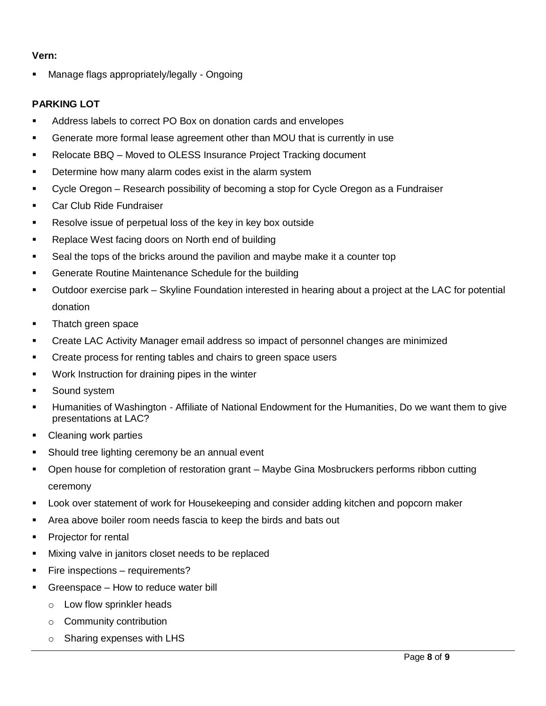## **Vern:**

Manage flags appropriately/legally - Ongoing

## **PARKING LOT**

- Address labels to correct PO Box on donation cards and envelopes
- Generate more formal lease agreement other than MOU that is currently in use
- Relocate BBQ Moved to OLESS Insurance Project Tracking document
- **Determine how many alarm codes exist in the alarm system**
- Cycle Oregon Research possibility of becoming a stop for Cycle Oregon as a Fundraiser
- **Car Club Ride Fundraiser**
- **Resolve issue of perpetual loss of the key in key box outside**
- **Replace West facing doors on North end of building**
- Seal the tops of the bricks around the pavilion and maybe make it a counter top
- Generate Routine Maintenance Schedule for the building
- Outdoor exercise park Skyline Foundation interested in hearing about a project at the LAC for potential donation
- Thatch green space
- Create LAC Activity Manager email address so impact of personnel changes are minimized
- **Create process for renting tables and chairs to green space users**
- Work Instruction for draining pipes in the winter
- **Sound system**
- Humanities of Washington Affiliate of National Endowment for the Humanities, Do we want them to give presentations at LAC?
- Cleaning work parties
- **Should tree lighting ceremony be an annual event**
- Open house for completion of restoration grant Maybe Gina Mosbruckers performs ribbon cutting ceremony
- Look over statement of work for Housekeeping and consider adding kitchen and popcorn maker
- Area above boiler room needs fascia to keep the birds and bats out
- Projector for rental
- Mixing valve in janitors closet needs to be replaced
- **Fire inspections requirements?**
- Greenspace How to reduce water bill
	- o Low flow sprinkler heads
	- o Community contribution
	- o Sharing expenses with LHS